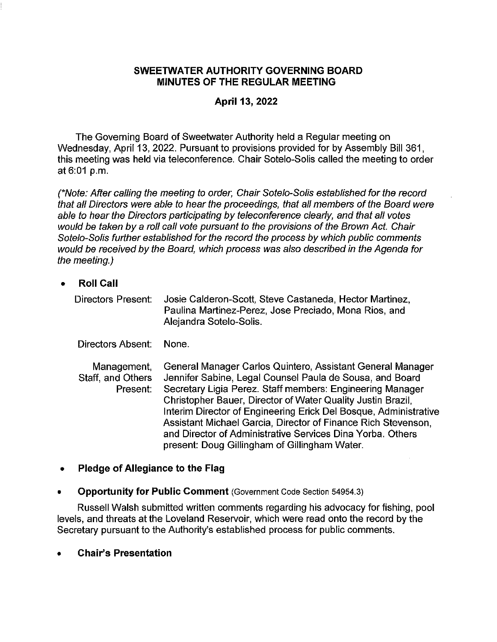#### **SWEETWATER AUTHORITY GOVERNING BOARD MINUTES OF THE REGULAR MEETING**

### **April 13, 2022**

The Governing Board of Sweetwater Authority held a Regular meeting on Wednesday, April 13, 2022. Pursuant to provisions provided for by Assembly Bill 361, this meeting was held via teleconference. Chair Sotelo-Solis called the meeting to order at 6:01 p.m.

(\*Note: After calling the meeting to order, Chair Sotelo-Solis established for the record that all Directors were able to hear the proceedings, that all members of the Board were able to hear the Directors participating by teleconference clearly, and that all votes would be taken by a roll call vote pursuant to the provisions of the Brown Act. Chair Sotelo-Solis further established for the record the process by which public comments would be received by the Board, which process was also described in the Agenda for the meeting.)

• **Roll Call** 

Directors Present: Josie Calderon-Scott, Steve Castaneda, Hector Martinez, Paulina Martinez-Perez, Jose Preciado, Mona Rios, and Alejandra Sotelo-Solis.

Directors Absent: None.

Management, Staff, and Others Present: General Manager Carlos Quintero, Assistant General Manager Jennifer Sabine, Legal Counsel Paula de Sousa, and Board Secretary Ligia Perez. Staff members: Engineering Manager Christopher Bauer, Director of Water Quality Justin Brazil, Interim Director of Engineering Erick Del Bosque, Administrative Assistant Michael Garcia, Director of Finance Rich Stevenson, and Director of Administrative Services Dina Yorba. Others present: Doug Gillingham of Gillingham Water.

#### • **Pledge of Allegiance to the Flag**

• **Opportunity for Public Comment** (Government Code Section 54954.3)

Russell Walsh submitted written comments regarding his advocacy for fishing, pool levels, and threats at the Loveland Reservoir, which were read onto the record by the Secretary pursuant to the Authority's established process for public comments.

• **Chair's Presentation**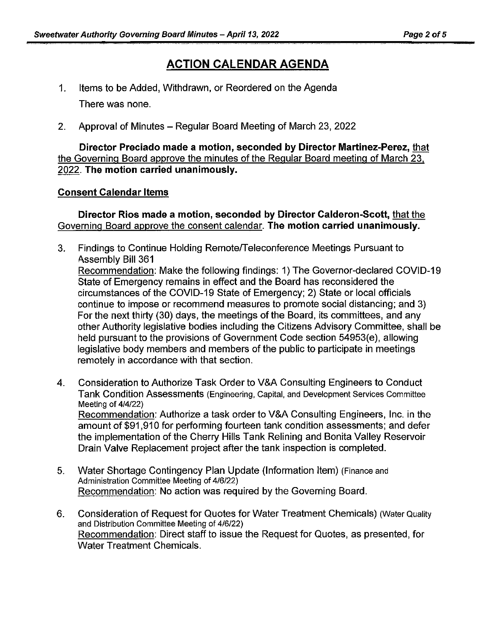# **ACTION CALENDAR AGENDA**

- 1. Items to be Added, Withdrawn, or Reordered on the Agenda There was none.
- 2. Approval of Minutes Regular Board Meeting of March 23, 2022

**Director Preciado made a motion, seconded by Director Martinez-Perez,** that the Governing Board approve the minutes of the Regular Board meeting of March 23. 2022. **The motion carried unanimously.** 

#### **Consent Calendar Items**

**Director Rios made a motion, seconded by Director Calderon-Scott,** that the Governing Board approve the consent calendar. **The motion carried unanimously.** 

- 3. Findings to Continue Holding Remote/Teleconference Meetings Pursuant to Assembly Bill 361 Recommendation: Make the following findings: 1) The Governor-declared COVID-19 State of Emergency remains in effect and the Board has reconsidered the circumstances of the COVID-19 State of Emergency; 2) State or local officials continue to impose or recommend measures to promote social distancing; and 3) For the next thirty (30) days, the meetings of the Board, its committees, and any other Authority legislative bodies including the Citizens Advisory Committee, shall be held pursuant to the provisions of Government Code section 54953(e), allowing legislative body members and members of the public to participate in meetings remotely in accordance with that section.
- 4. Consideration to Authorize Task Order to V&A Consulting Engineers to Conduct Tank Condition Assessments (Engineering, Capital, and Development Services Committee Meeting of 4/4/22) Recommendation: Authorize a task order to V&A Consulting Engineers, Inc. in the amount of \$91,910 for performing fourteen tank condition assessments; and defer the implementation of the Cherry Hills Tank Relining and Bonita Valley Reservoir Drain Valve Replacement project after the tank inspection is completed.
- 5. Water Shortage Contingency Plan Update (Information Item) (Finance and Administration Committee Meeting of 4/6/22) Recommendation: No action was required by the Governing Board.
- 6. Consideration of Request for Quotes for Water Treatment Chemicals) (Water Quality and Distribution Committee Meeting of 4/6/22) Recommendation: Direct staff to issue the Request for Quotes, as presented, for Water Treatment Chemicals.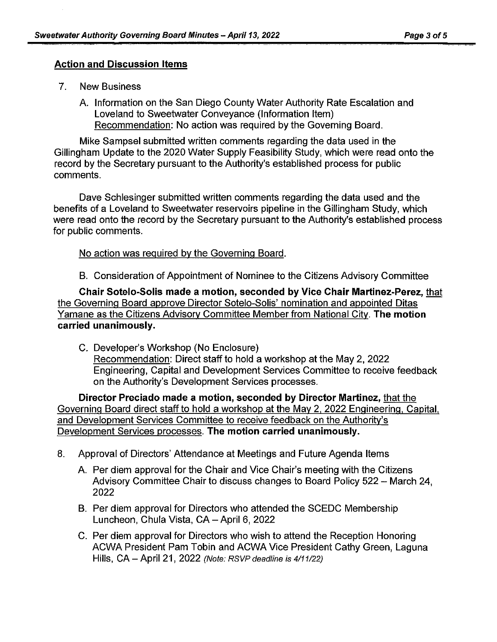#### **Action and Discussion Items**

- 7. New Business
	- A. Information on the San Diego County Water Authority Rate Escalation and Loveland to Sweetwater Conveyance (Information Item) Recommendation: No action was required by the Governing Board.

Mike Sampsel submitted written comments regarding the data used in the Gillingham Update to the 2020 Water Supply Feasibility Study, which were read onto the record by the Secretary pursuant to the Authority's established process for public comments.

Dave Schlesinger submitted written comments regarding the data used and the benefits of a Loveland to Sweetwater reservoirs pipeline in the Gillingham Study, which were read onto the record by the Secretary pursuant to the Authority's established process for public comments.

No action was required by the Governing Board.

B. Consideration of Appointment of Nominee to the Citizens Advisory Committee

**Chair Sotelo-Solis made a motion, seconded by Vice Chair Martinez-Perez,** that the Governing Board approve Director Sotelo-Solis' nomination and appointed Ditas Yamane as the Citizens Advisory Committee Member from National City. **The motion carried unanimously.** 

C. Developer's Workshop (No Enclosure) Recommendation: Direct staff to hold a workshop at the May 2, 2022 Engineering, Capital and Development Services Committee to receive feedback on the Authority's Development Services processes.

**Director Preciado made a motion, seconded by Director Martinez,** that the Governing Board direct staff to hold a workshop at the May 2, 2022 Engineering, Capital, and Development Services Committee to receive feedback on the Authority's Development Services processes. **The motion carried unanimously.** 

- 8. Approval of Directors' Attendance at Meetings and Future Agenda Items
	- A. Per diem approval for the Chair and Vice Chair's meeting with the Citizens Advisory Committee Chair to discuss changes to Board Policy 522 - March 24, 2022
	- B. Per diem approval for Directors who attended the SCEDC Membership Luncheon, Chula Vista, CA - April 6, 2022
	- C. Per diem approval for Directors who wish to attend the Reception Honoring ACWA President Pam Tobin and ACWA Vice President Cathy Green, Laguna Hills,  $CA - April 21$ ,  $2022$  (Note: RSVP deadline is  $4/11/22$ )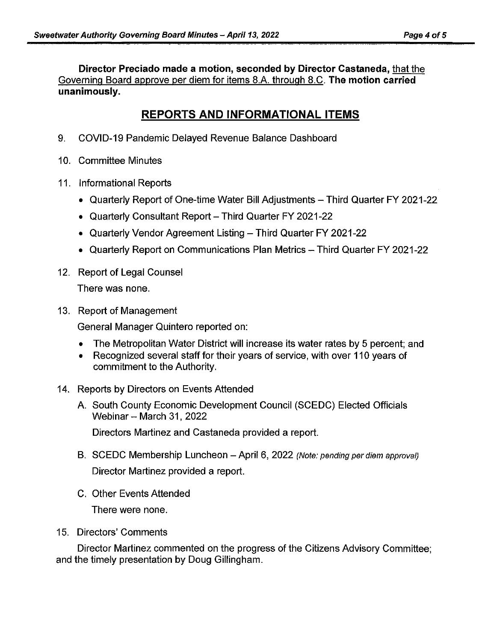**Director Preciado made a motion, seconded by Director Castaneda,** that the Governing Board approve per diem for items 8.A. through 8.C. **The motion carried unanimously.** 

## **REPORTS AND INFORMATIONAL ITEMS**

- 9. COVID-19 Pandemic Delayed Revenue Balance Dashboard
- 10. Committee Minutes
- 11. Informational Reports
	- Quarterly Report of One-time Water Bill Adjustments Third Quarter FY 2021-22
	- Quarterly Consultant Report Third Quarter FY 2021-22
	- Quarterly Vendor Agreement Listing Third Quarter FY 2021-22
	- Quarterly Report on Communications Plan Metrics -- Third Quarter FY 2021-22
- 12. Report of Legal Counsel There was none.
- 13. Report of Management

General Manager Quintero reported on:

- The Metropolitan Water District will increase its water rates by 5 percent; and
- Recognized several staff for their years of service, with over 110 years of commitment to the Authority.

#### 14. Reports by Directors on Events Attended

A. South County Economic Development Council (SCEDC) Elected Officials Webinar  $-$  March 31, 2022

Directors Martinez and Castaneda provided a report.

- B. SCEDC Membership Luncheon April 6, 2022 (Note: pending per diem approval) Director Martinez provided a report.
- C. Other Events Attended

There were none.

15. Directors' Comments

Director Martinez commented on the progress of the Citizens Advisory Committee; and the timely presentation by Doug Gillingham.